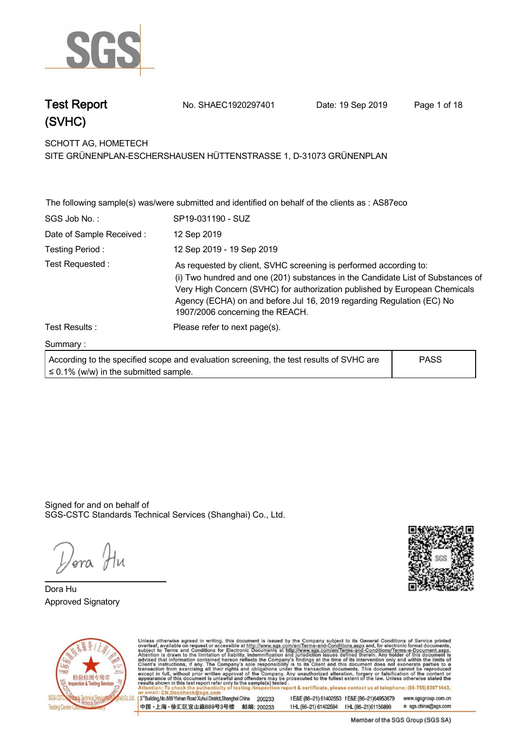

**Test Report. No. SHAEC1920297401 Date: 19 Sep 2019. Page 1 of 18.**

**SCHOTT AG, HOMETECH .**

**SITE GRÜNENPLAN-ESCHERSHAUSEN HÜTTENSTRASSE 1, D-31073 GRÜNENPLAN**

|                          | The following sample(s) was/were submitted and identified on behalf of the clients as : AS87eco                                                                                                                                                                                                                                                |             |
|--------------------------|------------------------------------------------------------------------------------------------------------------------------------------------------------------------------------------------------------------------------------------------------------------------------------------------------------------------------------------------|-------------|
| SGS Job No.:             | SP19-031190 - SUZ                                                                                                                                                                                                                                                                                                                              |             |
| Date of Sample Received: | 12 Sep 2019                                                                                                                                                                                                                                                                                                                                    |             |
| Testing Period:          | 12 Sep 2019 - 19 Sep 2019                                                                                                                                                                                                                                                                                                                      |             |
| Test Requested:          | As requested by client, SVHC screening is performed according to:<br>(i) Two hundred and one (201) substances in the Candidate List of Substances of<br>Very High Concern (SVHC) for authorization published by European Chemicals<br>Agency (ECHA) on and before Jul 16, 2019 regarding Regulation (EC) No<br>1907/2006 concerning the REACH. |             |
| Test Results:            | Please refer to next page(s).                                                                                                                                                                                                                                                                                                                  |             |
| Summary:                 |                                                                                                                                                                                                                                                                                                                                                |             |
|                          | According to the specified scope and evaluation screening the test results of SVHC are                                                                                                                                                                                                                                                         | <b>PASS</b> |

| According to the specified scope and evaluation screening, the test results of SVHC are |  |
|-----------------------------------------------------------------------------------------|--|
| $\leq$ 0.1% (w/w) in the submitted sample.                                              |  |

**PASS**

Signed for and on behalf of SGS-CSTC Standards Technical Services (Shanghai) Co., Ltd..

*Dora* Hu

**Dora Hu. Approved Signatory . . .**





Unless otherwise agreed in writing, this document is issued by the Company subject to its General Conditions of Service printed<br>overleaf, available on request or accessible at http://www.sgs.com/en/Terms-and-Conditions.asp 3<sup>rd</sup>Building, No.889 Yishan Road Xuhui District, Shanghai China 200233 www.sgsgroup.com.cn

中国·上海·徐汇区宜山路889号3号楼 邮编: 200233

t E&E (86-21) 61402553 f E&E (86-21)64953679 t HL (86-21) 61402594 f HL (86-21) 61156899 e sgs.china@sgs.com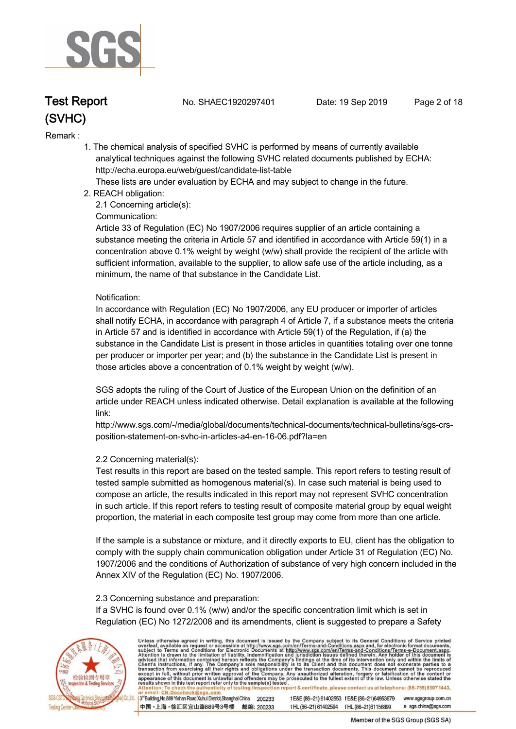

**Test Report. No. SHAEC1920297401 Date: 19 Sep 2019. Page 2 of 18.**

#### **Remark :.**

 **1. The chemical analysis of specified SVHC is performed by means of currently available analytical techniques against the following SVHC related documents published by ECHA: http://echa.europa.eu/web/guest/candidate-list-table** 

 **These lists are under evaluation by ECHA and may subject to change in the future.** 

 **2. REACH obligation:** 

 **2.1 Concerning article(s):** 

#### **Communication:**

 **Article 33 of Regulation (EC) No 1907/2006 requires supplier of an article containing a substance meeting the criteria in Article 57 and identified in accordance with Article 59(1) in a concentration above 0.1% weight by weight (w/w) shall provide the recipient of the article with sufficient information, available to the supplier, to allow safe use of the article including, as a minimum, the name of that substance in the Candidate List.** 

#### **Notification:**

 **In accordance with Regulation (EC) No 1907/2006, any EU producer or importer of articles shall notify ECHA, in accordance with paragraph 4 of Article 7, if a substance meets the criteria in Article 57 and is identified in accordance with Article 59(1) of the Regulation, if (a) the substance in the Candidate List is present in those articles in quantities totaling over one tonne per producer or importer per year; and (b) the substance in the Candidate List is present in those articles above a concentration of 0.1% weight by weight (w/w).** 

 **SGS adopts the ruling of the Court of Justice of the European Union on the definition of an article under REACH unless indicated otherwise. Detail explanation is available at the following link:** 

 **http://www.sgs.com/-/media/global/documents/technical-documents/technical-bulletins/sgs-crs position-statement-on-svhc-in-articles-a4-en-16-06.pdf?la=en** 

#### **2.2 Concerning material(s):**

 **Test results in this report are based on the tested sample. This report refers to testing result of tested sample submitted as homogenous material(s). In case such material is being used to compose an article, the results indicated in this report may not represent SVHC concentration in such article. If this report refers to testing result of composite material group by equal weight proportion, the material in each composite test group may come from more than one article.** 

 **If the sample is a substance or mixture, and it directly exports to EU, client has the obligation to comply with the supply chain communication obligation under Article 31 of Regulation (EC) No. 1907/2006 and the conditions of Authorization of substance of very high concern included in the Annex XIV of the Regulation (EC) No. 1907/2006.** 

#### **2.3 Concerning substance and preparation:**

 **If a SVHC is found over 0.1% (w/w) and/or the specific concentration limit which is set in Regulation (EC) No 1272/2008 and its amendments, client is suggested to prepare a Safety** 



Unless otherwise agreed in writing, this document is issued by the Company subject to its General Conditions of Service printed<br>overleaf, available on request or accessible at http://www.sgs.com/en/Terms-and-Conditions.asp ion report & certificate, please contact us at telephone: (86-755) 8307 1443, t E&E (86-21) 61402553 f E&E (86-21)64953679 www.sgsgroup.com.cn

13<sup>rd</sup> Building, No.889 Yishan Road Xuhui District, Shanghai China 200233 中国·上海·徐汇区宜山路889号3号楼 邮编: 200233

tHL (86-21) 61402594 fHL (86-21) 61156899 e sgs.china@sgs.com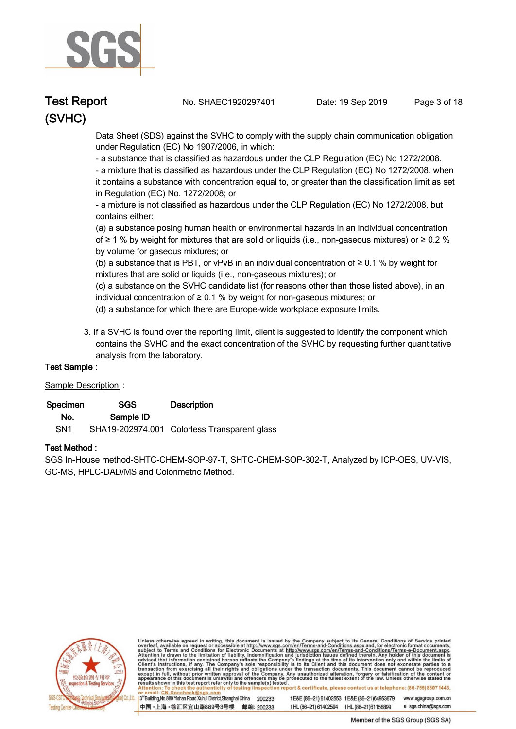

**Test Report. No. SHAEC1920297401 Date: 19 Sep 2019. Page 3 of 18.**

 **Data Sheet (SDS) against the SVHC to comply with the supply chain communication obligation under Regulation (EC) No 1907/2006, in which:** 

 **- a substance that is classified as hazardous under the CLP Regulation (EC) No 1272/2008.** 

 **- a mixture that is classified as hazardous under the CLP Regulation (EC) No 1272/2008, when it contains a substance with concentration equal to, or greater than the classification limit as set in Regulation (EC) No. 1272/2008; or** 

 **- a mixture is not classified as hazardous under the CLP Regulation (EC) No 1272/2008, but contains either:** 

 **(a) a substance posing human health or environmental hazards in an individual concentration of ≥ 1 % by weight for mixtures that are solid or liquids (i.e., non-gaseous mixtures) or ≥ 0.2 % by volume for gaseous mixtures; or** 

 **(b) a substance that is PBT, or vPvB in an individual concentration of ≥ 0.1 % by weight for mixtures that are solid or liquids (i.e., non-gaseous mixtures); or** 

 **(c) a substance on the SVHC candidate list (for reasons other than those listed above), in an individual concentration of ≥ 0.1 % by weight for non-gaseous mixtures; or** 

- **(d) a substance for which there are Europe-wide workplace exposure limits.**
- **3. If a SVHC is found over the reporting limit, client is suggested to identify the component which contains the SVHC and the exact concentration of the SVHC by requesting further quantitative analysis from the laboratory.**

#### **Test Sample :.**

#### **Sample Description:**

| Specimen        | SGS       | <b>Description</b>                           |
|-----------------|-----------|----------------------------------------------|
| No.             | Sample ID |                                              |
| SN <sub>1</sub> |           | SHA19-202974.001 Colorless Transparent glass |

#### **Test Method :.**

**SGS In-House method-SHTC-CHEM-SOP-97-T, SHTC-CHEM-SOP-302-T, Analyzed by ICP-OES, UV-VIS, GC-MS, HPLC-DAD/MS and Colorimetric Method. .**



Unless otherwise agreed in writing, this document is issued by the Company subject to its General Conditions of Service printed<br>overleaf, available on request or accessible at http://www.sgs.com/en/Terms-and-Conditions.asp report & certificate, please contact us at telephone: (86-755) 8307 1443, esting /ins

3<sup>14</sup>Building, No.889 Yishan Road Xuhui District, Shanghai China 200233 中国·上海·徐汇区宜山路889号3号楼 邮编: 200233 tE&E (86-21) 61402553 fE&E (86-21)64953679 www.sgsgroup.com.cn

e sgs.china@sgs.com tHL (86-21) 61402594 fHL (86-21) 61156899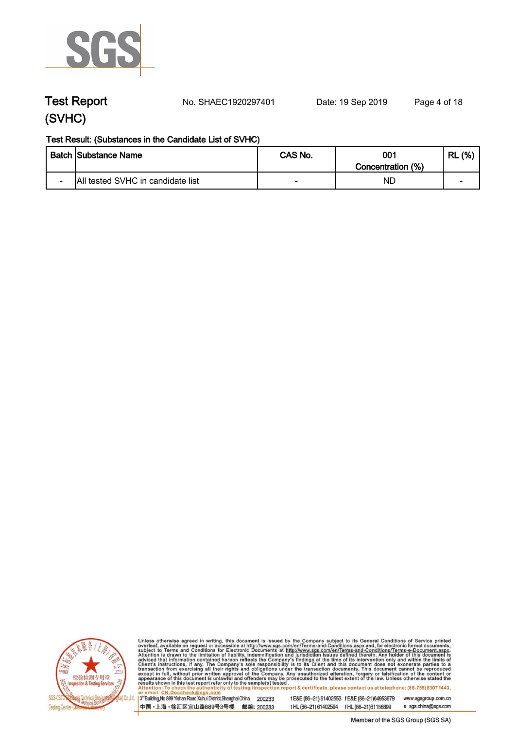

**Test Report. No. SHAEC1920297401 Date: 19 Sep 2019. Page 4 of 18.**

#### **Test Result: (Substances in the Candidate List of SVHC)**

|                          | <b>Batch Substance Name</b>       | CAS No. | 001               | (% )<br>RL               |
|--------------------------|-----------------------------------|---------|-------------------|--------------------------|
|                          |                                   |         | Concentration (%) |                          |
| $\overline{\phantom{0}}$ | All tested SVHC in candidate list |         | NL                | $\overline{\phantom{0}}$ |



Unless otherwise agreed in writing, this document is issued by the Company subject to its General Conditions of Service printed overleaf, available on request or accessible at http://www.sgs.com/en/Terms-and-Conditions.asp

3<sup>rd</sup>Building, No.889 Yishan Road Xuhui District, Shanghai China 200233 中国·上海·徐汇区宜山路889号3号楼 邮编: 200233

t E&E (86-21) 61402553 f E&E (86-21)64953679 www.sgsgroup.com.cn t HL (86-21) 61402594 f HL (86-21) 61156899 e sgs.china@sgs.com

Member of the SGS Group (SGS SA)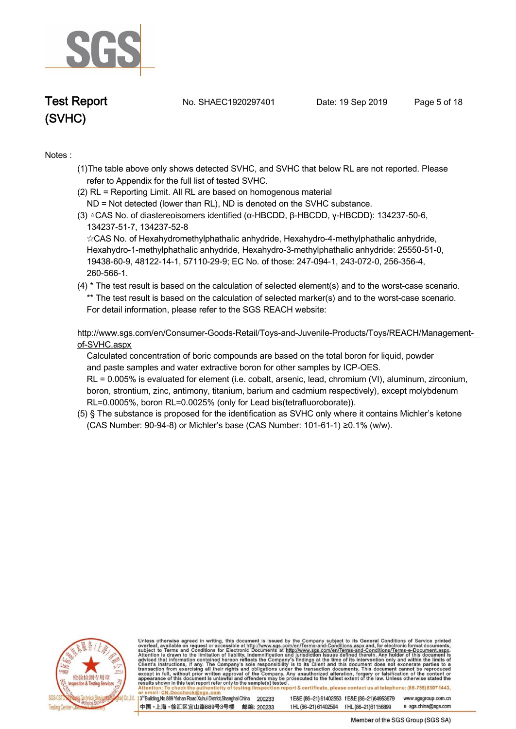

**Test Report. No. SHAEC1920297401 Date: 19 Sep 2019. Page 5 of 18.**

# **(SVHC)**

#### **Notes :.**

- **(1)The table above only shows detected SVHC, and SVHC that below RL are not reported. Please refer to Appendix for the full list of tested SVHC.**
- **(2) RL = Reporting Limit. All RL are based on homogenous material ND = Not detected (lower than RL), ND is denoted on the SVHC substance.**
- **(3) △CAS No. of diastereoisomers identified (α-HBCDD, β-HBCDD, γ-HBCDD): 134237-50-6, 134237-51-7, 134237-52-8**

 **☆CAS No. of Hexahydromethylphathalic anhydride, Hexahydro-4-methylphathalic anhydride, Hexahydro-1-methylphathalic anhydride, Hexahydro-3-methylphathalic anhydride: 25550-51-0, 19438-60-9, 48122-14-1, 57110-29-9; EC No. of those: 247-094-1, 243-072-0, 256-356-4, 260-566-1..**

**(4) \* The test result is based on the calculation of selected element(s) and to the worst-case scenario. \*\* The test result is based on the calculation of selected marker(s) and to the worst-case scenario. For detail information, please refer to the SGS REACH website:**

 **http://www.sgs.com/en/Consumer-Goods-Retail/Toys-and-Juvenile-Products/Toys/REACH/Managementof-SVHC.aspx**

 **Calculated concentration of boric compounds are based on the total boron for liquid, powder and paste samples and water extractive boron for other samples by ICP-OES.**

 **RL = 0.005% is evaluated for element (i.e. cobalt, arsenic, lead, chromium (VI), aluminum, zirconium, boron, strontium, zinc, antimony, titanium, barium and cadmium respectively), except molybdenum RL=0.0005%, boron RL=0.0025% (only for Lead bis(tetrafluoroborate)).**

**(5) § The substance is proposed for the identification as SVHC only where it contains Michler's ketone (CAS Number: 90-94-8) or Michler's base (CAS Number: 101-61-1) ≥0.1% (w/w). .**



Unless otherwise agreed in writing, this document is issued by the Company subject to its General Conditions of Service printed overleaf, available on request or accessible at http://www.sgs.com/en/Terms-and-Conditions.asp results shown in this test report refer only to the sample(s) tested report & certificate, please contact us at telephone: (86-755) 8307 1443, esting /ins

3<sup>rd</sup>Building, No.889 Yishan Road Xuhui District, Shanghai China 200233 中国·上海·徐汇区宜山路889号3号楼 邮编: 200233 t E&E (86-21) 61402553 f E&E (86-21)64953679 www.sgsgroup.com.cn e sgs.china@sgs.com tHL (86-21) 61402594 fHL (86-21) 61156899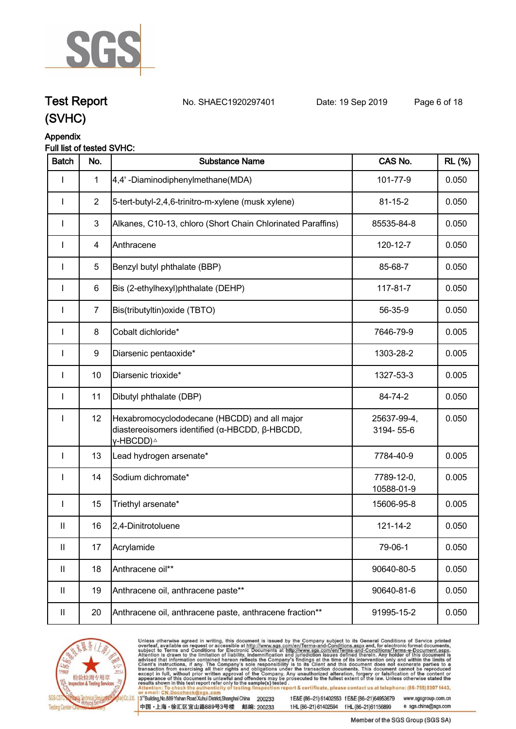

**Test Report. No. SHAEC1920297401 Date: 19 Sep 2019. Page 6 of 18.**

#### **Appendix Full list of tested SVHC:**

| <b>Batch</b>               | No.            | <b>Substance Name</b>                                                                                                   | CAS No.                  | <b>RL</b> (%) |
|----------------------------|----------------|-------------------------------------------------------------------------------------------------------------------------|--------------------------|---------------|
|                            | 1              | 4,4'-Diaminodiphenylmethane(MDA)                                                                                        | 101-77-9                 | 0.050         |
| <b>I</b>                   | $\overline{2}$ | 5-tert-butyl-2,4,6-trinitro-m-xylene (musk xylene)                                                                      | $81 - 15 - 2$            | 0.050         |
| I                          | $\mathbf{3}$   | Alkanes, C10-13, chloro (Short Chain Chlorinated Paraffins)                                                             | 85535-84-8               | 0.050         |
| I                          | 4              | Anthracene                                                                                                              | 120-12-7                 | 0.050         |
| I                          | $\sqrt{5}$     | Benzyl butyl phthalate (BBP)                                                                                            | 85-68-7                  | 0.050         |
| $\mathbf{I}$               | 6              | Bis (2-ethylhexyl)phthalate (DEHP)                                                                                      | 117-81-7                 | 0.050         |
| I                          | $\overline{7}$ | Bis(tributyltin) oxide (TBTO)                                                                                           | 56-35-9                  | 0.050         |
| I                          | 8              | Cobalt dichloride*                                                                                                      | 7646-79-9                | 0.005         |
| $\mathbf{I}$               | 9              | Diarsenic pentaoxide*                                                                                                   | 1303-28-2                | 0.005         |
| I                          | 10             | Diarsenic trioxide*                                                                                                     | 1327-53-3                | 0.005         |
| $\mathbf{I}$               | 11             | Dibutyl phthalate (DBP)                                                                                                 | 84-74-2                  | 0.050         |
| $\mathbf{I}$               | 12             | Hexabromocyclododecane (HBCDD) and all major<br>diastereoisomers identified (α-HBCDD, β-HBCDD,<br>γ-HBCDD) <sup>∆</sup> | 25637-99-4,<br>3194-55-6 | 0.050         |
| $\mathbf{I}$               | 13             | Lead hydrogen arsenate*                                                                                                 | 7784-40-9                | 0.005         |
|                            | 14             | Sodium dichromate*                                                                                                      | 7789-12-0,<br>10588-01-9 | 0.005         |
| I                          | 15             | Triethyl arsenate*                                                                                                      | 15606-95-8               | 0.005         |
| Ш                          | 16             | 2,4-Dinitrotoluene                                                                                                      | 121-14-2                 | 0.050         |
| $\ensuremath{\mathsf{II}}$ | 17             | Acrylamide                                                                                                              | 79-06-1                  | 0.050         |
| $\mathbf{II}$              | 18             | Anthracene oil**                                                                                                        | 90640-80-5               | 0.050         |
| $\mathbf{II}$              | 19             | Anthracene oil, anthracene paste**                                                                                      | 90640-81-6               | 0.050         |
| Ш                          | 20             | Anthracene oil, anthracene paste, anthracene fraction**                                                                 | 91995-15-2               | 0.050         |



Unless otherwise agreed in writing, this document is issued by the Company subject to its General Conditions of Service printed overleaf, available on request or accessible at http://www.sgs.com/en/Terms-and-Conditions.asp

3<sup>rd</sup> Building, No.889 Yishan Road Xuhui District, Shanghai China 200233 中国·上海·徐汇区宜山路889号3号楼 邮编: 200233 t E&E (86-21) 61402553 f E&E (86-21)64953679 www.sgsgroup.com.cn t HL (86-21) 61402594 f HL (86-21) 61156899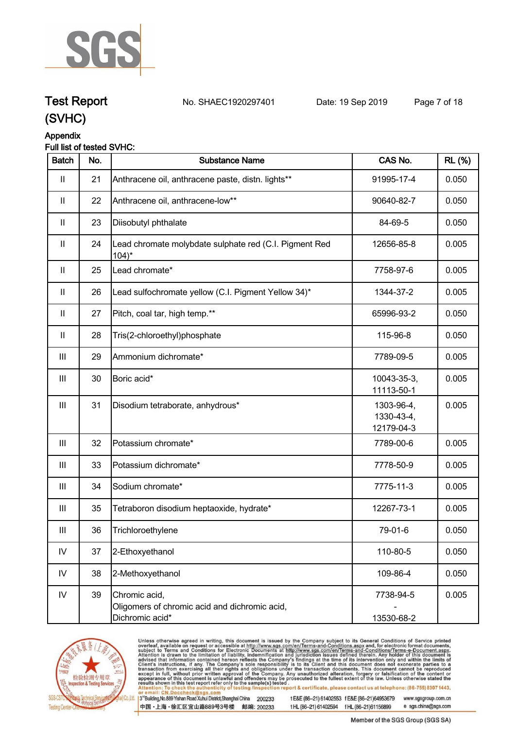

# **Test Report. No. SHAEC1920297401 Date: 19 Sep 2019. Page 7 of 18.**

### **(SVHC)**

#### **Appendix**

#### **Full list of tested SVHC:**

| <b>Batch</b>       | No. | <b>Substance Name</b>                                                             | CAS No.                                | <b>RL</b> (%) |
|--------------------|-----|-----------------------------------------------------------------------------------|----------------------------------------|---------------|
| $\mathbf{II}$      | 21  | Anthracene oil, anthracene paste, distn. lights**                                 | 91995-17-4                             | 0.050         |
| $\mathbf{II}$      | 22  | Anthracene oil, anthracene-low**                                                  | 90640-82-7                             | 0.050         |
| Ш                  | 23  | Diisobutyl phthalate                                                              | 84-69-5                                | 0.050         |
| Ш                  | 24  | Lead chromate molybdate sulphate red (C.I. Pigment Red<br>$104$ <sup>*</sup>      | 12656-85-8                             | 0.005         |
| Ш                  | 25  | Lead chromate*                                                                    | 7758-97-6                              | 0.005         |
| Ш                  | 26  | Lead sulfochromate yellow (C.I. Pigment Yellow 34)*                               | 1344-37-2                              | 0.005         |
| $\mathbf{II}$      | 27  | Pitch, coal tar, high temp.**                                                     | 65996-93-2                             | 0.050         |
| $\mathbf{II}$      | 28  | Tris(2-chloroethyl)phosphate                                                      | 115-96-8                               | 0.050         |
| $\mathbf{III}$     | 29  | Ammonium dichromate*                                                              | 7789-09-5                              | 0.005         |
| Ш                  | 30  | Boric acid*                                                                       | 10043-35-3,<br>11113-50-1              | 0.005         |
| Ш                  | 31  | Disodium tetraborate, anhydrous*                                                  | 1303-96-4,<br>1330-43-4,<br>12179-04-3 | 0.005         |
| $\mathbf{III}$     | 32  | Potassium chromate*                                                               | 7789-00-6                              | 0.005         |
| $\mathop{\rm III}$ | 33  | Potassium dichromate*                                                             | 7778-50-9                              | 0.005         |
| $\mathbf{III}$     | 34  | Sodium chromate*                                                                  | 7775-11-3                              | 0.005         |
| $\mathop{\rm III}$ | 35  | Tetraboron disodium heptaoxide, hydrate*                                          | 12267-73-1                             | 0.005         |
| Ш                  | 36  | Trichloroethylene                                                                 | 79-01-6                                | 0.050         |
| ${\sf IV}$         | 37  | 2-Ethoxyethanol                                                                   | 110-80-5                               | 0.050         |
| IV                 | 38  | 2-Methoxyethanol                                                                  | 109-86-4                               | 0.050         |
| $\mathsf{IV}$      | 39  | Chromic acid,<br>Oligomers of chromic acid and dichromic acid,<br>Dichromic acid* | 7738-94-5<br>13530-68-2                | 0.005         |



Unless otherwise agreed in writing, this document is issued by the Company subject to its General Conditions of Service printed overleaf, available on request or accessible at http://www.sgs.com/en/Terms-and-Conditions.asp

3<sup>rd</sup> Building, No.889 Yishan Road Xuhui District, Shanghai China 200233 中国·上海·徐汇区宜山路889号3号楼 邮编: 200233

t E&E (86-21) 61402553 f E&E (86-21)64953679 www.sgsgroup.com.cn t HL (86-21) 61402594 f HL (86-21) 61156899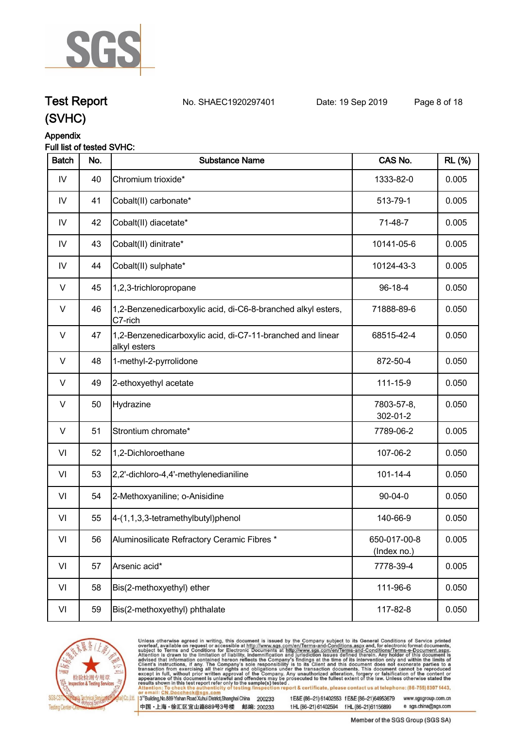

**Test Report. No. SHAEC1920297401 Date: 19 Sep 2019. Page 8 of 18.**

#### **Appendix**

#### **Full list of tested SVHC:**

| <b>Batch</b> | No. | <b>Substance Name</b>                                                      | CAS No.                     | <b>RL</b> (%) |
|--------------|-----|----------------------------------------------------------------------------|-----------------------------|---------------|
| IV           | 40  | Chromium trioxide*                                                         | 1333-82-0                   | 0.005         |
| IV           | 41  | Cobalt(II) carbonate*                                                      | 513-79-1                    | 0.005         |
| IV           | 42  | Cobalt(II) diacetate*                                                      | 71-48-7                     | 0.005         |
| IV           | 43  | Cobalt(II) dinitrate*                                                      | 10141-05-6                  | 0.005         |
| IV           | 44  | Cobalt(II) sulphate*                                                       | 10124-43-3                  | 0.005         |
| V            | 45  | 1,2,3-trichloropropane                                                     | 96-18-4                     | 0.050         |
| V            | 46  | 1,2-Benzenedicarboxylic acid, di-C6-8-branched alkyl esters,<br>C7-rich    | 71888-89-6                  | 0.050         |
| $\vee$       | 47  | 1,2-Benzenedicarboxylic acid, di-C7-11-branched and linear<br>alkyl esters | 68515-42-4                  | 0.050         |
| $\vee$       | 48  | 1-methyl-2-pyrrolidone                                                     | 872-50-4                    | 0.050         |
| V            | 49  | 2-ethoxyethyl acetate                                                      | 111-15-9                    | 0.050         |
| $\vee$       | 50  | Hydrazine                                                                  | 7803-57-8,<br>302-01-2      | 0.050         |
| $\vee$       | 51  | Strontium chromate*                                                        | 7789-06-2                   | 0.005         |
| VI           | 52  | 1,2-Dichloroethane                                                         | 107-06-2                    | 0.050         |
| VI           | 53  | 2,2'-dichloro-4,4'-methylenedianiline                                      | $101 - 14 - 4$              | 0.050         |
| VI           | 54  | 2-Methoxyaniline; o-Anisidine                                              | 90-04-0                     | 0.050         |
| VI           | 55  | 4-(1,1,3,3-tetramethylbutyl)phenol                                         | 140-66-9                    | 0.050         |
| VI           | 56  | Aluminosilicate Refractory Ceramic Fibres *                                | 650-017-00-8<br>(Index no.) | 0.005         |
| VI           | 57  | Arsenic acid*                                                              | 7778-39-4                   | 0.005         |
| VI           | 58  | Bis(2-methoxyethyl) ether                                                  | 111-96-6                    | 0.050         |
| VI           | 59  | Bis(2-methoxyethyl) phthalate                                              | 117-82-8                    | 0.050         |



Unless otherwise agreed in writing, this document is issued by the Company subject to its General Conditions of Service printed overleaf, available on request or accessible at http://www.sgs.com/en/Terms-and-Conditions.asp

3<sup>rd</sup> Building, No.889 Yishan Road Xuhui District, Shanghai China 200233 中国·上海·徐汇区宜山路889号3号楼 邮编: 200233

t E&E (86-21) 61402553 f E&E (86-21)64953679 www.sgsgroup.com.cn t HL (86-21) 61402594 f HL (86-21) 61156899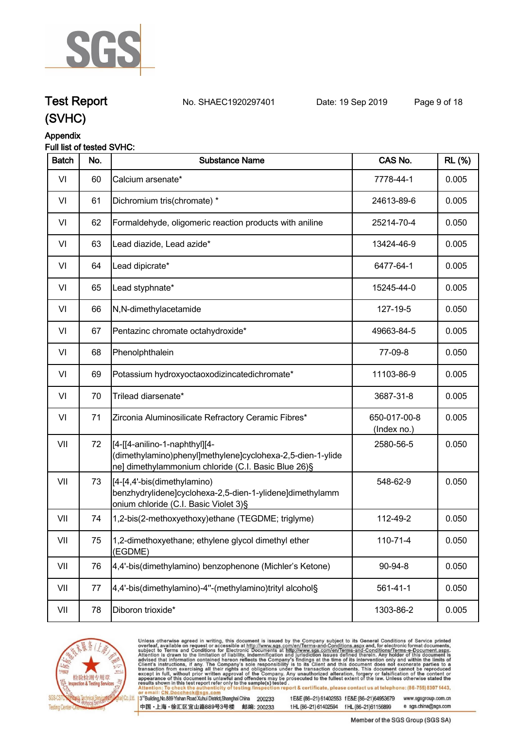

# **Test Report. No. SHAEC1920297401 Date: 19 Sep 2019. Page 9 of 18.**

**(SVHC)**

#### **Appendix**

#### **Full list of tested SVHC:**

| <b>Batch</b> | No. | <b>Substance Name</b>                                                                                                                               | CAS No.                     | <b>RL (%)</b> |
|--------------|-----|-----------------------------------------------------------------------------------------------------------------------------------------------------|-----------------------------|---------------|
| VI           | 60  | Calcium arsenate*                                                                                                                                   | 7778-44-1                   | 0.005         |
| VI           | 61  | Dichromium tris(chromate) *                                                                                                                         | 24613-89-6                  | 0.005         |
| VI           | 62  | Formaldehyde, oligomeric reaction products with aniline                                                                                             | 25214-70-4                  | 0.050         |
| VI           | 63  | Lead diazide, Lead azide*                                                                                                                           | 13424-46-9                  | 0.005         |
| VI           | 64  | Lead dipicrate*                                                                                                                                     | 6477-64-1                   | 0.005         |
| VI           | 65  | Lead styphnate*                                                                                                                                     | 15245-44-0                  | 0.005         |
| VI           | 66  | N,N-dimethylacetamide                                                                                                                               | 127-19-5                    | 0.050         |
| VI           | 67  | Pentazinc chromate octahydroxide*                                                                                                                   | 49663-84-5                  | 0.005         |
| VI           | 68  | Phenolphthalein                                                                                                                                     | 77-09-8                     | 0.050         |
| VI           | 69  | Potassium hydroxyoctaoxodizincatedichromate*                                                                                                        | 11103-86-9                  | 0.005         |
| VI           | 70  | Trilead diarsenate*                                                                                                                                 | 3687-31-8                   | 0.005         |
| VI           | 71  | Zirconia Aluminosilicate Refractory Ceramic Fibres*                                                                                                 | 650-017-00-8<br>(Index no.) | 0.005         |
| VII          | 72  | [[4-[[4-anilino-1-naphthyl][4-<br>(dimethylamino)phenyl]methylene]cyclohexa-2,5-dien-1-ylide<br>ne] dimethylammonium chloride (C.I. Basic Blue 26)§ | 2580-56-5                   | 0.050         |
| VII          | 73  | [4-[4,4'-bis(dimethylamino)<br>benzhydrylidene]cyclohexa-2,5-dien-1-ylidene]dimethylamm<br>onium chloride (C.I. Basic Violet 3)§                    | 548-62-9                    | 0.050         |
| VII          | 74  | 1,2-bis(2-methoxyethoxy)ethane (TEGDME; triglyme)                                                                                                   | 112-49-2                    | 0.050         |
| VII          | 75  | 1,2-dimethoxyethane; ethylene glycol dimethyl ether<br>(EGDME)                                                                                      | 110-71-4                    | 0.050         |
| VII          | 76  | 4,4'-bis(dimethylamino) benzophenone (Michler's Ketone)                                                                                             | 90-94-8                     | 0.050         |
| VII          | 77  | 4,4'-bis(dimethylamino)-4"-(methylamino)trityl alcohol§                                                                                             | $561 - 41 - 1$              | 0.050         |
| VII          | 78  | Diboron trioxide*                                                                                                                                   | 1303-86-2                   | 0.005         |



Unless otherwise agreed in writing, this document is issued by the Company subject to its General Conditions of Service printed overleaf, available on request or accessible at http://www.sgs.com/en/Terms-and-Conditions.asp

3<sup>rd</sup> Building, No.889 Yishan Road Xuhui District, Shanghai China 200233 中国·上海·徐汇区宜山路889号3号楼 邮编: 200233

t E&E (86-21) 61402553 f E&E (86-21)64953679 www.sgsgroup.com.cn t HL (86-21) 61402594 f HL (86-21) 61156899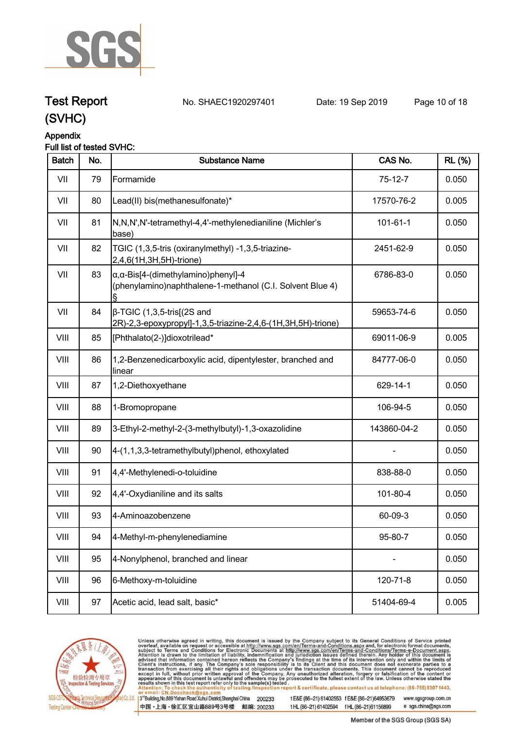

# **Test Report. No. SHAEC1920297401 Date: 19 Sep 2019. Page 10 of 18.**

## **(SVHC)**

#### **Appendix**

#### **Full list of tested SVHC:**

| <b>Batch</b> | No. | <b>Substance Name</b>                                                                                            | CAS No.        | <b>RL</b> (%) |
|--------------|-----|------------------------------------------------------------------------------------------------------------------|----------------|---------------|
| VII          | 79  | Formamide                                                                                                        | $75-12-7$      | 0.050         |
| VII          | 80  | Lead(II) bis(methanesulfonate)*                                                                                  | 17570-76-2     | 0.005         |
| VII          | 81  | N,N,N',N'-tetramethyl-4,4'-methylenedianiline (Michler's<br>base)                                                | $101 - 61 - 1$ | 0.050         |
| VII          | 82  | TGIC (1,3,5-tris (oxiranylmethyl) -1,3,5-triazine-<br>2,4,6(1H,3H,5H)-trione)                                    | 2451-62-9      | 0.050         |
| VII          | 83  | $\alpha$ , $\alpha$ -Bis[4-(dimethylamino)phenyl]-4<br>(phenylamino)naphthalene-1-methanol (C.I. Solvent Blue 4) | 6786-83-0      | 0.050         |
| VII          | 84  | $\beta$ -TGIC (1,3,5-tris[(2S and<br>2R)-2,3-epoxypropyl]-1,3,5-triazine-2,4,6-(1H,3H,5H)-trione)                | 59653-74-6     | 0.050         |
| VIII         | 85  | [Phthalato(2-)]dioxotrilead*                                                                                     | 69011-06-9     | 0.005         |
| VIII         | 86  | 1,2-Benzenedicarboxylic acid, dipentylester, branched and<br>linear                                              | 84777-06-0     | 0.050         |
| VIII         | 87  | 1,2-Diethoxyethane                                                                                               | 629-14-1       | 0.050         |
| VIII         | 88  | 1-Bromopropane                                                                                                   | 106-94-5       | 0.050         |
| VIII         | 89  | 3-Ethyl-2-methyl-2-(3-methylbutyl)-1,3-oxazolidine                                                               | 143860-04-2    | 0.050         |
| VIII         | 90  | 4-(1,1,3,3-tetramethylbutyl)phenol, ethoxylated                                                                  |                | 0.050         |
| VIII         | 91  | 4,4'-Methylenedi-o-toluidine                                                                                     | 838-88-0       | 0.050         |
| VIII         | 92  | 4,4'-Oxydianiline and its salts                                                                                  | 101-80-4       | 0.050         |
| VIII         | 93  | 4-Aminoazobenzene                                                                                                | 60-09-3        | 0.050         |
| VIII         | 94  | 4-Methyl-m-phenylenediamine                                                                                      | 95-80-7        | 0.050         |
| VIII         | 95  | 4-Nonylphenol, branched and linear                                                                               |                | 0.050         |
| VIII         | 96  | 6-Methoxy-m-toluidine                                                                                            | 120-71-8       | 0.050         |
| VIII         | 97  | Acetic acid, lead salt, basic*                                                                                   | 51404-69-4     | 0.005         |
|              |     |                                                                                                                  |                |               |



Unless otherwise agreed in writing, this document is issued by the Company subject to its General Conditions of Service printed overleaf, available on request or accessible at http://www.sgs.com/en/Terms-and-Conditions.asp

3<sup>rd</sup> Building, No.889 Yishan Road Xuhui District, Shanghai China 200233 中国·上海·徐汇区宜山路889号3号楼 邮编: 200233

t E&E (86-21) 61402553 f E&E (86-21)64953679 www.sgsgroup.com.cn t HL (86-21) 61402594 f HL (86-21) 61156899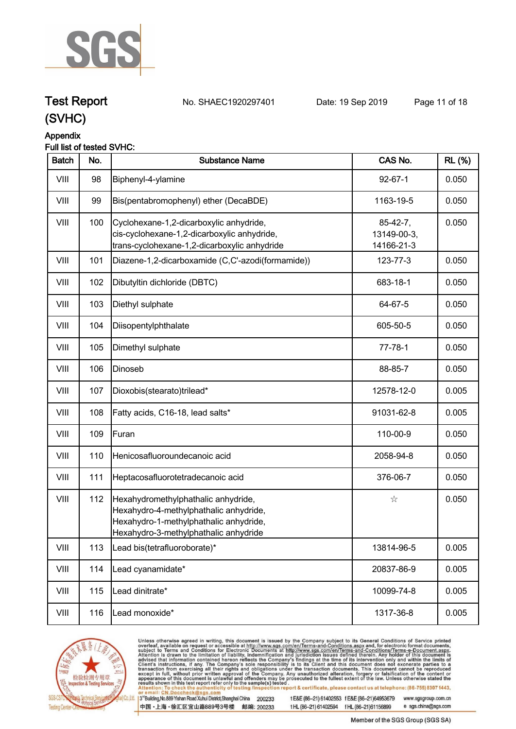

**Test Report. No. SHAEC1920297401 Date: 19 Sep 2019. Page 11 of 18.**

### **(SVHC)**

#### **Appendix**

#### **Full list of tested SVHC:**

| <b>Batch</b> | No. | <b>Substance Name</b>                                                                                                                                            | CAS No.                                 | <b>RL</b> (%) |
|--------------|-----|------------------------------------------------------------------------------------------------------------------------------------------------------------------|-----------------------------------------|---------------|
| VIII         | 98  | Biphenyl-4-ylamine                                                                                                                                               | $92 - 67 - 1$                           | 0.050         |
| VIII         | 99  | Bis(pentabromophenyl) ether (DecaBDE)                                                                                                                            | 1163-19-5                               | 0.050         |
| VIII         | 100 | Cyclohexane-1,2-dicarboxylic anhydride,<br>cis-cyclohexane-1,2-dicarboxylic anhydride,<br>trans-cyclohexane-1,2-dicarboxylic anhydride                           | $85-42-7,$<br>13149-00-3,<br>14166-21-3 | 0.050         |
| VIII         | 101 | Diazene-1,2-dicarboxamide (C,C'-azodi(formamide))                                                                                                                | 123-77-3                                | 0.050         |
| VIII         | 102 | Dibutyltin dichloride (DBTC)                                                                                                                                     | 683-18-1                                | 0.050         |
| VIII         | 103 | Diethyl sulphate                                                                                                                                                 | 64-67-5                                 | 0.050         |
| VIII         | 104 | Diisopentylphthalate                                                                                                                                             | 605-50-5                                | 0.050         |
| VIII         | 105 | Dimethyl sulphate                                                                                                                                                | $77 - 78 - 1$                           | 0.050         |
| VIII         | 106 | Dinoseb                                                                                                                                                          | 88-85-7                                 | 0.050         |
| VIII         | 107 | Dioxobis(stearato)trilead*                                                                                                                                       | 12578-12-0                              | 0.005         |
| VIII         | 108 | Fatty acids, C16-18, lead salts*                                                                                                                                 | 91031-62-8                              | 0.005         |
| VIII         | 109 | Furan                                                                                                                                                            | 110-00-9                                | 0.050         |
| VIII         | 110 | Henicosafluoroundecanoic acid                                                                                                                                    | 2058-94-8                               | 0.050         |
| VIII         | 111 | Heptacosafluorotetradecanoic acid                                                                                                                                | 376-06-7                                | 0.050         |
| VIII         | 112 | Hexahydromethylphathalic anhydride,<br>Hexahydro-4-methylphathalic anhydride,<br>Hexahydro-1-methylphathalic anhydride,<br>Hexahydro-3-methylphathalic anhydride | $z_{\rm V}^{\rm A}$                     | 0.050         |
| VIII         | 113 | Lead bis(tetrafluoroborate)*                                                                                                                                     | 13814-96-5                              | 0.005         |
| VIII         | 114 | Lead cyanamidate*                                                                                                                                                | 20837-86-9                              | 0.005         |
| VIII         | 115 | Lead dinitrate*                                                                                                                                                  | 10099-74-8                              | 0.005         |
| VIII         | 116 | Lead monoxide*                                                                                                                                                   | 1317-36-8                               | 0.005         |
|              |     |                                                                                                                                                                  |                                         |               |



Unless otherwise agreed in writing, this document is issued by the Company subject to its General Conditions of Service printed overleaf, available on request or accessible at http://www.sgs.com/en/Terms-and-Conditions.asp

3<sup>rd</sup> Building, No.889 Yishan Road Xuhui District, Shanghai China 200233 中国·上海·徐汇区宜山路889号3号楼 邮编: 200233

t E&E (86-21) 61402553 f E&E (86-21)64953679 www.sgsgroup.com.cn t HL (86-21) 61402594 f HL (86-21) 61156899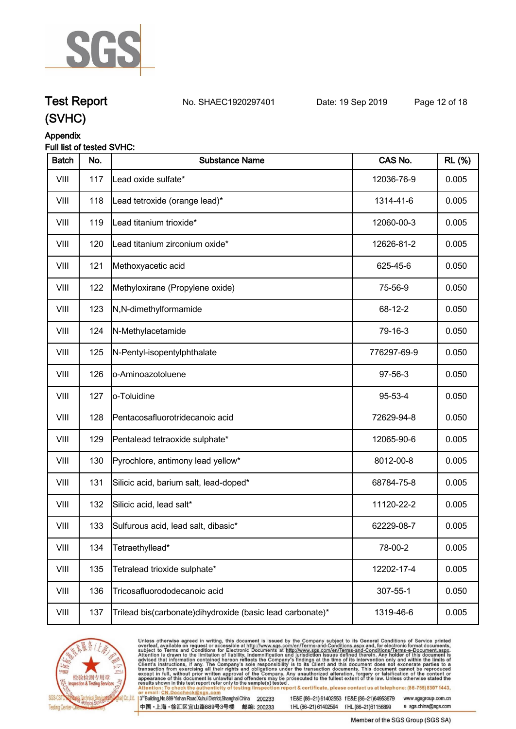

# **Test Report. No. SHAEC1920297401 Date: 19 Sep 2019. Page 12 of 18.**

### **(SVHC)**

#### **Appendix**

#### **Full list of tested SVHC:**

| <b>Batch</b> | No. | <b>Substance Name</b>                                     | CAS No.     | <b>RL</b> (%) |
|--------------|-----|-----------------------------------------------------------|-------------|---------------|
| VIII         | 117 | Lead oxide sulfate*                                       | 12036-76-9  | 0.005         |
| VIII         | 118 | Lead tetroxide (orange lead)*                             | 1314-41-6   | 0.005         |
| VIII         | 119 | Lead titanium trioxide*                                   | 12060-00-3  | 0.005         |
| VIII         | 120 | Lead titanium zirconium oxide*                            | 12626-81-2  | 0.005         |
| VIII         | 121 | Methoxyacetic acid                                        | 625-45-6    | 0.050         |
| VIII         | 122 | Methyloxirane (Propylene oxide)                           | 75-56-9     | 0.050         |
| VIII         | 123 | N,N-dimethylformamide                                     | 68-12-2     | 0.050         |
| VIII         | 124 | N-Methylacetamide                                         | 79-16-3     | 0.050         |
| VIII         | 125 | N-Pentyl-isopentylphthalate                               | 776297-69-9 | 0.050         |
| VIII         | 126 | o-Aminoazotoluene                                         | 97-56-3     | 0.050         |
| VIII         | 127 | o-Toluidine                                               | 95-53-4     | 0.050         |
| VIII         | 128 | Pentacosafluorotridecanoic acid                           | 72629-94-8  | 0.050         |
| VIII         | 129 | Pentalead tetraoxide sulphate*                            | 12065-90-6  | 0.005         |
| VIII         | 130 | Pyrochlore, antimony lead yellow*                         | 8012-00-8   | 0.005         |
| VIII         | 131 | Silicic acid, barium salt, lead-doped*                    | 68784-75-8  | 0.005         |
| VIII         | 132 | Silicic acid, lead salt*                                  | 11120-22-2  | 0.005         |
| VIII         | 133 | Sulfurous acid, lead salt, dibasic*                       | 62229-08-7  | 0.005         |
| VIII         | 134 | Tetraethyllead*                                           | 78-00-2     | 0.005         |
| VIII         | 135 | Tetralead trioxide sulphate*                              | 12202-17-4  | 0.005         |
| VIII         | 136 | Tricosafluorododecanoic acid                              | 307-55-1    | 0.050         |
| VIII         | 137 | Trilead bis(carbonate)dihydroxide (basic lead carbonate)* | 1319-46-6   | 0.005         |



Unless otherwise agreed in writing, this document is issued by the Company subject to its General Conditions of Service printed overleaf, available on request or accessible at http://www.sgs.com/en/Terms-and-Conditions.asp

3<sup>rd</sup>Building, No.889 Yishan Road Xuhui District, Shanghai China 200233 中国·上海·徐汇区宜山路889号3号楼 邮编: 200233

t E&E (86-21) 61402553 f E&E (86-21)64953679 www.sgsgroup.com.cn t HL (86-21) 61402594 f HL (86-21) 61156899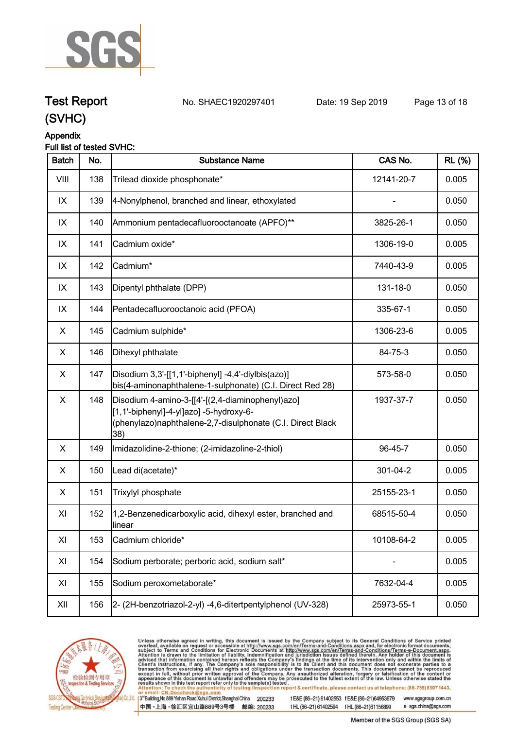

# **Test Report. No. SHAEC1920297401 Date: 19 Sep 2019. Page 13 of 18.**

### **(SVHC)**

#### **Appendix**

#### **Full list of tested SVHC:**

| <b>Batch</b> | No. | <b>Substance Name</b>                                                                                                                                            | CAS No.    | <b>RL (%)</b> |
|--------------|-----|------------------------------------------------------------------------------------------------------------------------------------------------------------------|------------|---------------|
| VIII         | 138 | Trilead dioxide phosphonate*                                                                                                                                     | 12141-20-7 | 0.005         |
| IX           | 139 | 4-Nonylphenol, branched and linear, ethoxylated                                                                                                                  |            | 0.050         |
| IX           | 140 | Ammonium pentadecafluorooctanoate (APFO)**                                                                                                                       | 3825-26-1  | 0.050         |
| IX           | 141 | Cadmium oxide*                                                                                                                                                   | 1306-19-0  | 0.005         |
| IX           | 142 | Cadmium*                                                                                                                                                         | 7440-43-9  | 0.005         |
| IX           | 143 | Dipentyl phthalate (DPP)                                                                                                                                         | 131-18-0   | 0.050         |
| IX           | 144 | Pentadecafluorooctanoic acid (PFOA)                                                                                                                              | 335-67-1   | 0.050         |
| X            | 145 | Cadmium sulphide*                                                                                                                                                | 1306-23-6  | 0.005         |
| X            | 146 | Dihexyl phthalate                                                                                                                                                | 84-75-3    | 0.050         |
| X            | 147 | Disodium 3,3'-[[1,1'-biphenyl] -4,4'-diylbis(azo)]<br>bis(4-aminonaphthalene-1-sulphonate) (C.I. Direct Red 28)                                                  | 573-58-0   | 0.050         |
| X            | 148 | Disodium 4-amino-3-[[4'-[(2,4-diaminophenyl)azo]<br>[1,1'-biphenyl]-4-yl]azo] -5-hydroxy-6-<br>(phenylazo)naphthalene-2,7-disulphonate (C.I. Direct Black<br>38) | 1937-37-7  | 0.050         |
| X            | 149 | Imidazolidine-2-thione; (2-imidazoline-2-thiol)                                                                                                                  | 96-45-7    | 0.050         |
| X            | 150 | Lead di(acetate)*                                                                                                                                                | 301-04-2   | 0.005         |
| X            | 151 | Trixylyl phosphate                                                                                                                                               | 25155-23-1 | 0.050         |
| XI           | 152 | 1,2-Benzenedicarboxylic acid, dihexyl ester, branched and<br>llinear                                                                                             | 68515-50-4 | 0.050         |
| XI           | 153 | Cadmium chloride*                                                                                                                                                | 10108-64-2 | 0.005         |
| XI           | 154 | Sodium perborate; perboric acid, sodium salt*                                                                                                                    |            | 0.005         |
| XI           | 155 | Sodium peroxometaborate*                                                                                                                                         | 7632-04-4  | 0.005         |
| XII          | 156 | 2- (2H-benzotriazol-2-yl) -4,6-ditertpentylphenol (UV-328)                                                                                                       | 25973-55-1 | 0.050         |
|              |     |                                                                                                                                                                  |            |               |



Unless otherwise agreed in writing, this document is issued by the Company subject to its General Conditions of Service printed overleaf, available on request or accessible at http://www.sgs.com/en/Terms-and-Conditions.asp

3<sup>rd</sup> Building, No.889 Yishan Road Xuhui District, Shanghai China 200233 中国·上海·徐汇区宜山路889号3号楼 邮编: 200233

t E&E (86-21) 61402553 f E&E (86-21)64953679 www.sgsgroup.com.cn t HL (86-21) 61402594 f HL (86-21) 61156899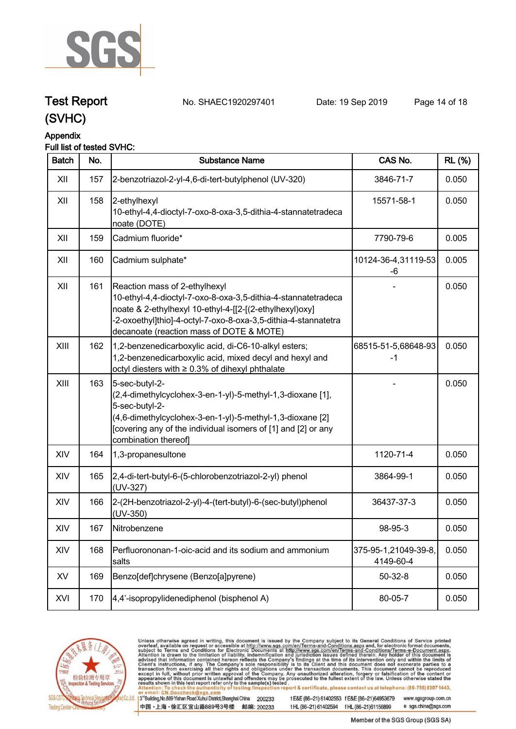

## **Test Report. No. SHAEC1920297401 Date: 19 Sep 2019. Page 14 of 18.**

**(SVHC)**

### **Appendix**

| <b>Batch</b> | No. | <b>Substance Name</b>                                                                                                                                                                                                                                                   | CAS No.                           | <b>RL (%)</b> |
|--------------|-----|-------------------------------------------------------------------------------------------------------------------------------------------------------------------------------------------------------------------------------------------------------------------------|-----------------------------------|---------------|
| XII          | 157 | 2-benzotriazol-2-yl-4,6-di-tert-butylphenol (UV-320)                                                                                                                                                                                                                    | 3846-71-7                         | 0.050         |
| XII          | 158 | 2-ethylhexyl<br>10-ethyl-4,4-dioctyl-7-oxo-8-oxa-3,5-dithia-4-stannatetradeca<br>noate (DOTE)                                                                                                                                                                           | 15571-58-1                        | 0.050         |
| XII          | 159 | Cadmium fluoride*                                                                                                                                                                                                                                                       | 7790-79-6                         | 0.005         |
| XII          | 160 | Cadmium sulphate*                                                                                                                                                                                                                                                       | 10124-36-4,31119-53<br>-6         | 0.005         |
| XII          | 161 | Reaction mass of 2-ethylhexyl<br>10-ethyl-4,4-dioctyl-7-oxo-8-oxa-3,5-dithia-4-stannatetradeca<br>noate & 2-ethylhexyl 10-ethyl-4-[[2-[(2-ethylhexyl)oxy]<br>-2-oxoethyl]thio]-4-octyl-7-oxo-8-oxa-3,5-dithia-4-stannatetra<br>decanoate (reaction mass of DOTE & MOTE) |                                   | 0.050         |
| XIII         | 162 | 1,2-benzenedicarboxylic acid, di-C6-10-alkyl esters;<br>1,2-benzenedicarboxylic acid, mixed decyl and hexyl and<br>octyl diesters with ≥ 0.3% of dihexyl phthalate                                                                                                      | 68515-51-5,68648-93<br>$-1$       | 0.050         |
| XIII         | 163 | 5-sec-butyl-2-<br>(2,4-dimethylcyclohex-3-en-1-yl)-5-methyl-1,3-dioxane [1],<br>5-sec-butyl-2-<br>(4,6-dimethylcyclohex-3-en-1-yl)-5-methyl-1,3-dioxane [2]<br>[covering any of the individual isomers of [1] and [2] or any<br>combination thereof]                    |                                   | 0.050         |
| XIV          | 164 | 1,3-propanesultone                                                                                                                                                                                                                                                      | 1120-71-4                         | 0.050         |
| XIV          | 165 | 2,4-di-tert-butyl-6-(5-chlorobenzotriazol-2-yl) phenol<br>(UV-327)                                                                                                                                                                                                      | 3864-99-1                         | 0.050         |
| XIV          | 166 | 2-(2H-benzotriazol-2-yl)-4-(tert-butyl)-6-(sec-butyl)phenol<br>(UV-350)                                                                                                                                                                                                 | 36437-37-3                        | 0.050         |
| XIV          | 167 | Nitrobenzene                                                                                                                                                                                                                                                            | 98-95-3                           | 0.050         |
| XIV          | 168 | Perfluorononan-1-oic-acid and its sodium and ammonium<br>salts                                                                                                                                                                                                          | 375-95-1,21049-39-8,<br>4149-60-4 | 0.050         |
| XV           | 169 | Benzo[def]chrysene (Benzo[a]pyrene)                                                                                                                                                                                                                                     | $50 - 32 - 8$                     | 0.050         |
| XVI          | 170 | 4,4'-isopropylidenediphenol (bisphenol A)                                                                                                                                                                                                                               | 80-05-7                           | 0.050         |



Unless otherwise agreed in writing, this document is issued by the Company subject to its General Conditions of Service printed overleaf, available on request or accessible at http://www.sgs.com/en/Terms-and-Conditions.asp

3<sup>rd</sup> Building, No.889 Yishan Road Xuhui District, Shanghai China 200233 中国·上海·徐汇区宜山路889号3号楼 邮编: 200233

t E&E (86-21) 61402553 f E&E (86-21)64953679 www.sgsgroup.com.cn t HL (86-21) 61402594 f HL (86-21) 61156899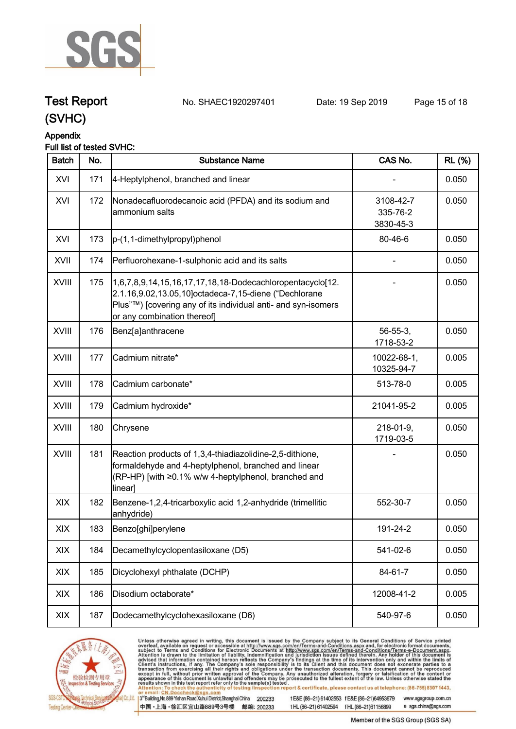

## **Test Report. No. SHAEC1920297401 Date: 19 Sep 2019. Page 15 of 18.**

**(SVHC)**

# **Appendix**

#### **Full list of tested SVHC:**

| <b>Batch</b> | No. | <b>Substance Name</b>                                                                                                                                                                                             | CAS No.                            | <b>RL</b> (%) |
|--------------|-----|-------------------------------------------------------------------------------------------------------------------------------------------------------------------------------------------------------------------|------------------------------------|---------------|
| XVI          | 171 | 4-Heptylphenol, branched and linear                                                                                                                                                                               |                                    | 0.050         |
| XVI          | 172 | Nonadecafluorodecanoic acid (PFDA) and its sodium and<br>ammonium salts                                                                                                                                           | 3108-42-7<br>335-76-2<br>3830-45-3 | 0.050         |
| XVI          | 173 | p-(1,1-dimethylpropyl)phenol                                                                                                                                                                                      | 80-46-6                            | 0.050         |
| XVII         | 174 | Perfluorohexane-1-sulphonic acid and its salts                                                                                                                                                                    |                                    | 0.050         |
| <b>XVIII</b> | 175 | 1,6,7,8,9,14,15,16,17,17,18,18-Dodecachloropentacyclo[12.<br>2.1.16,9.02,13.05,10]octadeca-7,15-diene ("Dechlorane<br>Plus"™) [covering any of its individual anti- and syn-isomers<br>or any combination thereof |                                    | 0.050         |
| XVIII        | 176 | Benz[a]anthracene                                                                                                                                                                                                 | $56 - 55 - 3$ ,<br>1718-53-2       | 0.050         |
| <b>XVIII</b> | 177 | Cadmium nitrate*                                                                                                                                                                                                  | 10022-68-1,<br>10325-94-7          | 0.005         |
| XVIII        | 178 | Cadmium carbonate*                                                                                                                                                                                                | 513-78-0                           | 0.005         |
| <b>XVIII</b> | 179 | Cadmium hydroxide*                                                                                                                                                                                                | 21041-95-2                         | 0.005         |
| XVIII        | 180 | Chrysene                                                                                                                                                                                                          | 218-01-9,<br>1719-03-5             | 0.050         |
| <b>XVIII</b> | 181 | Reaction products of 1,3,4-thiadiazolidine-2,5-dithione,<br>formaldehyde and 4-heptylphenol, branched and linear<br>(RP-HP) [with ≥0.1% w/w 4-heptylphenol, branched and<br>linear]                               |                                    | 0.050         |
| XIX          | 182 | Benzene-1,2,4-tricarboxylic acid 1,2-anhydride (trimellitic<br>anhydride)                                                                                                                                         | 552-30-7                           | 0.050         |
| XIX          | 183 | Benzo[ghi]perylene                                                                                                                                                                                                | 191-24-2                           | 0.050         |
| XIX          | 184 | Decamethylcyclopentasiloxane (D5)                                                                                                                                                                                 | 541-02-6                           | 0.050         |
| XIX          | 185 | Dicyclohexyl phthalate (DCHP)                                                                                                                                                                                     | 84-61-7                            | 0.050         |
| XIX          | 186 | Disodium octaborate*                                                                                                                                                                                              | 12008-41-2                         | 0.005         |
| XIX          | 187 | Dodecamethylcyclohexasiloxane (D6)                                                                                                                                                                                | 540-97-6                           | 0.050         |



Unless otherwise agreed in writing, this document is issued by the Company subject to its General Conditions of Service printed overleaf, available on request or accessible at http://www.sgs.com/en/Terms-and-Conditions.asp

3<sup>rd</sup> Building, No.889 Yishan Road Xuhui District, Shanghai China 200233 中国·上海·徐汇区宜山路889号3号楼 邮编: 200233

t E&E (86-21) 61402553 f E&E (86-21)64953679 www.sgsgroup.com.cn t HL (86-21) 61402594 f HL (86-21) 61156899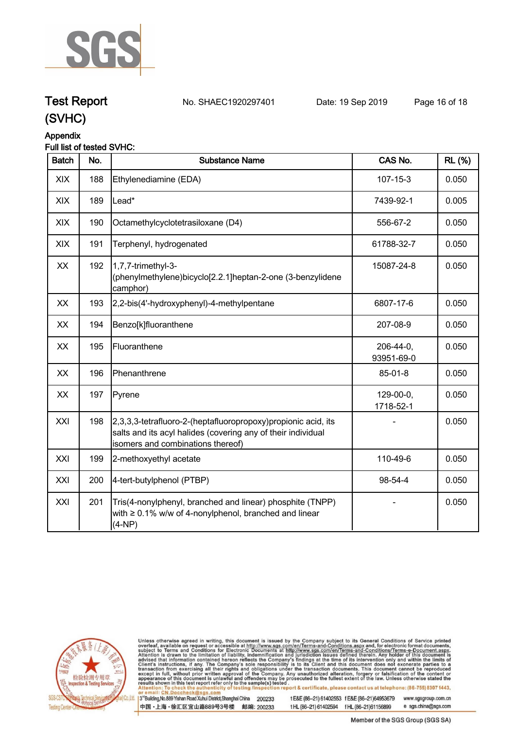

## **Test Report. No. SHAEC1920297401 Date: 19 Sep 2019. Page 16 of 18.**

### **(SVHC)**

#### **Appendix**

#### **Full list of tested SVHC:**

| <b>Batch</b> | No. | <b>Substance Name</b>                                                                                                                                              | CAS No.                  | <b>RL (%)</b> |
|--------------|-----|--------------------------------------------------------------------------------------------------------------------------------------------------------------------|--------------------------|---------------|
| XIX          | 188 | Ethylenediamine (EDA)                                                                                                                                              | $107 - 15 - 3$           | 0.050         |
| XIX          | 189 | Lead*                                                                                                                                                              | 7439-92-1                | 0.005         |
| XIX          | 190 | Octamethylcyclotetrasiloxane (D4)                                                                                                                                  | 556-67-2                 | 0.050         |
| XIX          | 191 | Terphenyl, hydrogenated                                                                                                                                            | 61788-32-7               | 0.050         |
| XX           | 192 | 1,7,7-trimethyl-3-<br>(phenylmethylene)bicyclo[2.2.1]heptan-2-one (3-benzylidene<br>camphor)                                                                       | 15087-24-8               | 0.050         |
| XX           | 193 | 2,2-bis(4'-hydroxyphenyl)-4-methylpentane                                                                                                                          | 6807-17-6                | 0.050         |
| XX           | 194 | Benzo[k]fluoranthene                                                                                                                                               | 207-08-9                 | 0.050         |
| XX           | 195 | Fluoranthene                                                                                                                                                       | 206-44-0,<br>93951-69-0  | 0.050         |
| XX           | 196 | Phenanthrene                                                                                                                                                       | 85-01-8                  | 0.050         |
| XX           | 197 | Pyrene                                                                                                                                                             | $129-00-0,$<br>1718-52-1 | 0.050         |
| XXI          | 198 | 2,3,3,3-tetrafluoro-2-(heptafluoropropoxy)propionic acid, its<br>salts and its acyl halides (covering any of their individual<br>isomers and combinations thereof) |                          | 0.050         |
| XXI          | 199 | 2-methoxyethyl acetate                                                                                                                                             | 110-49-6                 | 0.050         |
| XXI          | 200 | 4-tert-butylphenol (PTBP)                                                                                                                                          | 98-54-4                  | 0.050         |
| XXI          | 201 | Tris(4-nonylphenyl, branched and linear) phosphite (TNPP)<br>with $\geq 0.1\%$ w/w of 4-nonylphenol, branched and linear<br>$(4-NP)$                               |                          | 0.050         |



Unless otherwise agreed in writing, this document is issued by the Company subject to its General Conditions of Service printed overleaf, available on request or accessible at http://www.sgs.com/en/Terms-and-Conditions.asp

3<sup>rd</sup> Building, No.889 Yishan Road Xuhui District, Shanghai China 200233 中国·上海·徐汇区宜山路889号3号楼 邮编: 200233 t E&E (86-21) 61402553 f E&E (86-21)64953679 www.sgsgroup.com.cn

t HL (86-21) 61402594 f HL (86-21) 61156899 e sgs.china@sgs.com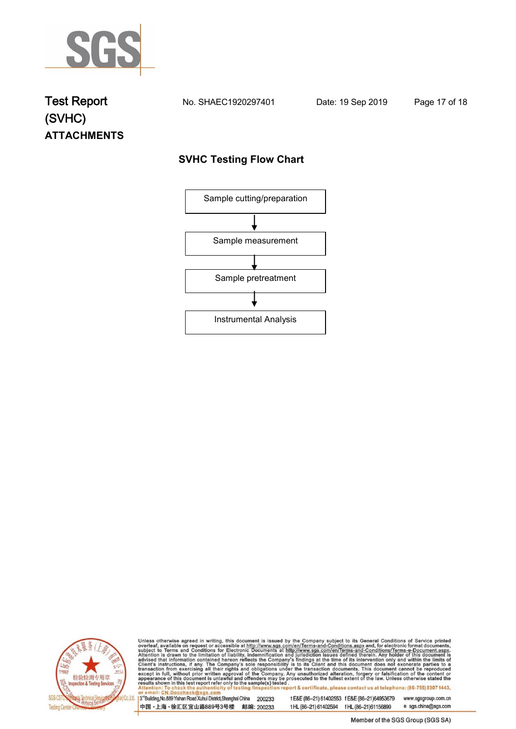

## **Test Report. No. SHAEC1920297401 Date: 19 Sep 2019. Page 17 of 18. (SVHC) ATTACHMENTS**

#### **SVHC Testing Flow Chart**





Unless otherwise agreed in writing, this document is issued by the Company subject to its General Conditions of Service printed overleaf, available on request or accessible at http://www.sgs.com/en/Terms-and-Conditions.asp

3<sup>rd</sup>Building, No.889 Yishan Road Xuhui District, Shanghai China 200233 中国·上海·徐汇区宜山路889号3号楼 邮编: 200233

t E&E (86-21) 61402553 f E&E (86-21)64953679 www.sgsgroup.com.cn t HL (86-21) 61402594 f HL (86-21) 61156899 e sgs.china@sgs.com